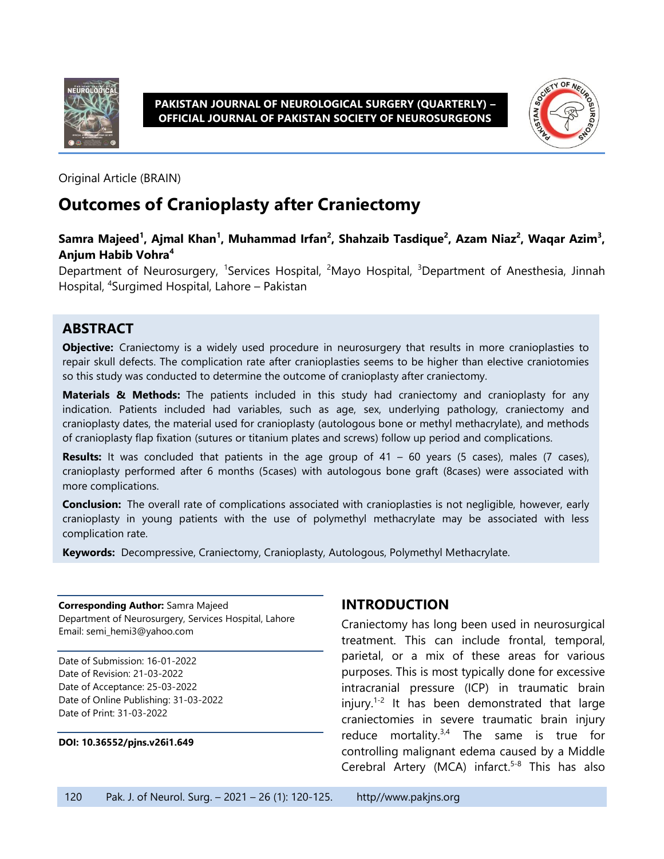

**PAKISTAN JOURNAL OF NEUROLOGICAL SURGERY (QUARTERLY) – OFFICIAL JOURNAL OF PAKISTAN SOCIETY OF NEUROSURGEONS**



Original Article (BRAIN)

# **Outcomes of Cranioplasty after Craniectomy**

#### **Samra Majeed<sup>1</sup> , Ajmal Khan<sup>1</sup> , Muhammad Irfan<sup>2</sup> , Shahzaib Tasdique<sup>2</sup> , Azam Niaz<sup>2</sup> , Waqar Azim<sup>3</sup> , Anjum Habib Vohra<sup>4</sup>**

Department of Neurosurgery, <sup>1</sup>Services Hospital, <sup>2</sup>Mayo Hospital, <sup>3</sup>Department of Anesthesia, Jinnah Hospital, 4 Surgimed Hospital, Lahore – Pakistan

#### **ABSTRACT**

**Objective:** Craniectomy is a widely used procedure in neurosurgery that results in more cranioplasties to repair skull defects. The complication rate after cranioplasties seems to be higher than elective craniotomies so this study was conducted to determine the outcome of cranioplasty after craniectomy.

**Materials & Methods:** The patients included in this study had craniectomy and cranioplasty for any indication. Patients included had variables, such as age, sex, underlying pathology, craniectomy and cranioplasty dates, the material used for cranioplasty (autologous bone or methyl methacrylate), and methods of cranioplasty flap fixation (sutures or titanium plates and screws) follow up period and complications.

**Results:** It was concluded that patients in the age group of 41 – 60 years (5 cases), males (7 cases), cranioplasty performed after 6 months (5cases) with autologous bone graft (8cases) were associated with more complications.

**Conclusion:** The overall rate of complications associated with cranioplasties is not negligible, however, early cranioplasty in young patients with the use of polymethyl methacrylate may be associated with less complication rate.

**Keywords:** Decompressive, Craniectomy, Cranioplasty, Autologous, Polymethyl Methacrylate.

**Corresponding Author:** Samra Majeed Department of Neurosurgery, Services Hospital, Lahore Email: semi\_hemi3@yahoo.com

Date of Submission: 16-01-2022 Date of Revision: 21-03-2022 Date of Acceptance: 25-03-2022 Date of Online Publishing: 31-03-2022 Date of Print: 31-03-2022

#### **DOI: 10.36552/pjns.v26i1.649**

### **INTRODUCTION**

Craniectomy has long been used in neurosurgical treatment. This can include frontal, temporal, parietal, or a mix of these areas for various purposes. This is most typically done for excessive intracranial pressure (ICP) in traumatic brain injury.<sup>1-2</sup> It has been demonstrated that large craniectomies in severe traumatic brain injury reduce mortality. $3,4$  The same is true for controlling malignant edema caused by a Middle Cerebral Artery (MCA) infarct.<sup>5-8</sup> This has also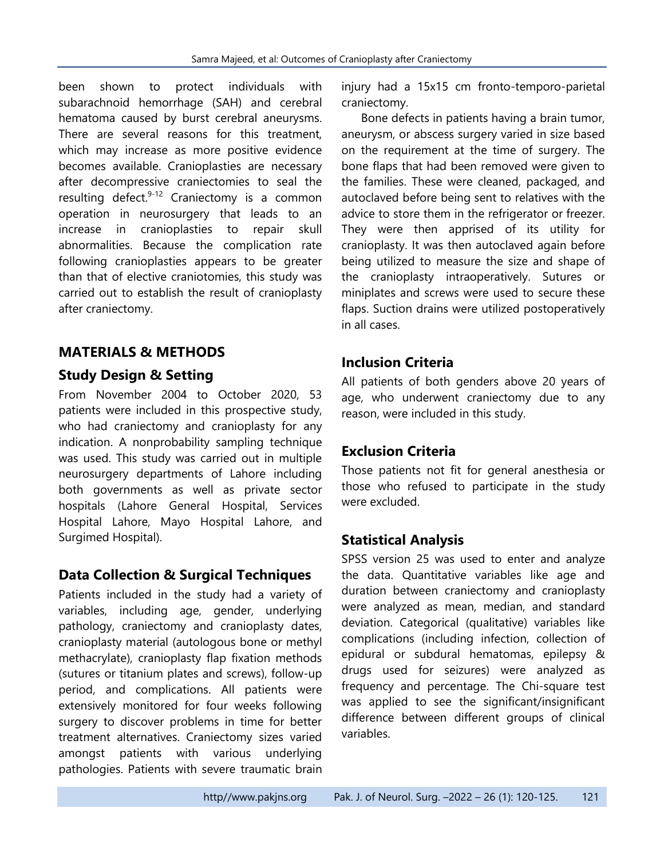been shown to protect individuals with subarachnoid hemorrhage (SAH) and cerebral hematoma caused by burst cerebral aneurysms. There are several reasons for this treatment, which may increase as more positive evidence becomes available. Cranioplasties are necessary after decompressive craniectomies to seal the resulting defect.<sup>9-12</sup> Craniectomy is a common operation in neurosurgery that leads to an increase in cranioplasties to repair skull abnormalities. Because the complication rate following cranioplasties appears to be greater than that of elective craniotomies, this study was carried out to establish the result of cranioplasty after craniectomy.

### **MATERIALS & METHODS**

### **Study Design & Setting**

From November 2004 to October 2020, 53 patients were included in this prospective study, who had craniectomy and cranioplasty for any indication. A nonprobability sampling technique was used. This study was carried out in multiple neurosurgery departments of Lahore including both governments as well as private sector hospitals (Lahore General Hospital, Services Hospital Lahore, Mayo Hospital Lahore, and Surgimed Hospital).

### **Data Collection & Surgical Techniques**

Patients included in the study had a variety of variables, including age, gender, underlying pathology, craniectomy and cranioplasty dates, cranioplasty material (autologous bone or methyl methacrylate), cranioplasty flap fixation methods (sutures or titanium plates and screws), follow-up period, and complications. All patients were extensively monitored for four weeks following surgery to discover problems in time for better treatment alternatives. Craniectomy sizes varied amongst patients with various underlying pathologies. Patients with severe traumatic brain injury had a 15x15 cm fronto-temporo-parietal craniectomy.

Bone defects in patients having a brain tumor, aneurysm, or abscess surgery varied in size based on the requirement at the time of surgery. The bone flaps that had been removed were given to the families. These were cleaned, packaged, and autoclaved before being sent to relatives with the advice to store them in the refrigerator or freezer. They were then apprised of its utility for cranioplasty. It was then autoclaved again before being utilized to measure the size and shape of the cranioplasty intraoperatively. Sutures or miniplates and screws were used to secure these flaps. Suction drains were utilized postoperatively in all cases.

### **Inclusion Criteria**

All patients of both genders above 20 years of age, who underwent craniectomy due to any reason, were included in this study.

### **Exclusion Criteria**

Those patients not fit for general anesthesia or those who refused to participate in the study were excluded.

### **Statistical Analysis**

SPSS version 25 was used to enter and analyze the data. Quantitative variables like age and duration between craniectomy and cranioplasty were analyzed as mean, median, and standard deviation. Categorical (qualitative) variables like complications (including infection, collection of epidural or subdural hematomas, epilepsy & drugs used for seizures) were analyzed as frequency and percentage. The Chi-square test was applied to see the significant/insignificant difference between different groups of clinical variables.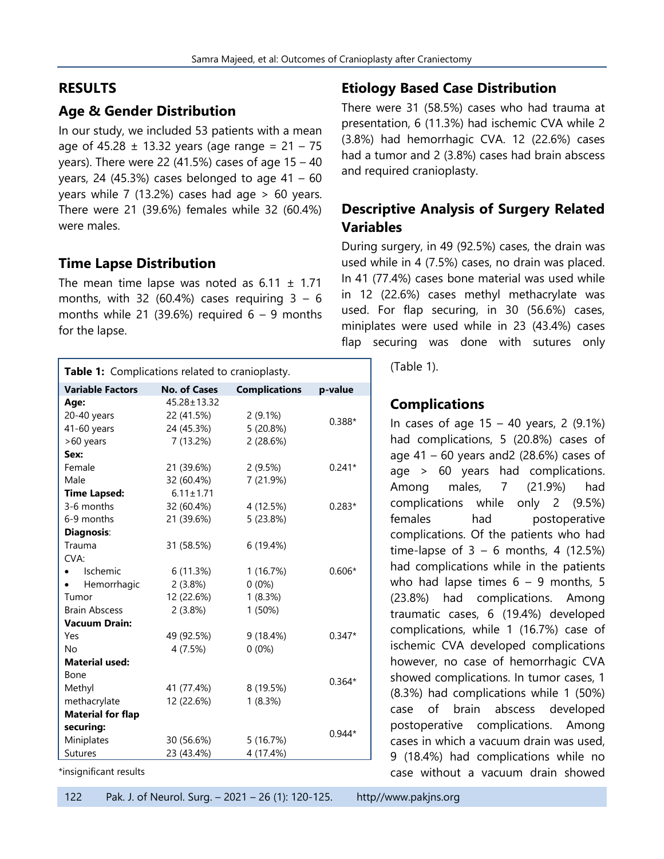### **RESULTS**

### **Age & Gender Distribution**

In our study, we included 53 patients with a mean age of  $45.28 \pm 13.32$  years (age range =  $21 - 75$ years). There were 22 (41.5%) cases of age  $15 - 40$ years, 24 (45.3%) cases belonged to age  $41 - 60$ years while 7 (13.2%) cases had age  $> 60$  years. There were 21 (39.6%) females while 32 (60.4%) were males.

### **Time Lapse Distribution**

The mean time lapse was noted as  $6.11 \pm 1.71$ months, with 32 (60.4%) cases requiring  $3 - 6$ months while 21 (39.6%) required  $6 - 9$  months for the lapse.

| Table 1: Complications related to cranioplasty. |                     |                      |          |  |
|-------------------------------------------------|---------------------|----------------------|----------|--|
| <b>Variable Factors</b>                         | <b>No. of Cases</b> | <b>Complications</b> | p-value  |  |
| Age:                                            | 45.28±13.32         |                      |          |  |
| 20-40 years                                     | 22 (41.5%)          | $2(9.1\%)$           | $0.388*$ |  |
| 41-60 years                                     | 24 (45.3%)          | 5 (20.8%)            |          |  |
| >60 years                                       | 7 (13.2%)           | 2(28.6%)             |          |  |
| Sex:                                            |                     |                      |          |  |
| Female                                          | 21 (39.6%)          | 2(9.5%)              | $0.241*$ |  |
| Male                                            | 32 (60.4%)          | 7 (21.9%)            |          |  |
| <b>Time Lapsed:</b>                             | $6.11 \pm 1.71$     |                      |          |  |
| 3-6 months                                      | 32 (60.4%)          | 4 (12.5%)            | $0.283*$ |  |
| 6-9 months                                      | 21 (39.6%)          | 5 (23.8%)            |          |  |
| Diagnosis:                                      |                     |                      |          |  |
| Trauma                                          | 31 (58.5%)          | 6 (19.4%)            |          |  |
| CVA:                                            |                     |                      |          |  |
| Ischemic<br>$\bullet$ .                         | 6 (11.3%)           | 1(16.7%)             | $0.606*$ |  |
| Hemorrhagic                                     | 2(3.8%)             | $0(0\%)$             |          |  |
| Tumor                                           | 12 (22.6%)          | 1(8.3%)              |          |  |
| <b>Brain Abscess</b>                            | 2(3.8%)             | 1 (50%)              |          |  |
| <b>Vacuum Drain:</b>                            |                     |                      |          |  |
| Yes                                             | 49 (92.5%)          | 9 (18.4%)            | $0.347*$ |  |
| <b>No</b>                                       | 4 (7.5%)            | $0(0\%)$             |          |  |
| <b>Material used:</b>                           |                     |                      |          |  |
| Bone                                            |                     |                      | $0.364*$ |  |
| Methyl                                          | 41 (77.4%)          | 8 (19.5%)            |          |  |
| methacrylate                                    | 12 (22.6%)          | 1(8.3%)              |          |  |
| <b>Material for flap</b>                        |                     |                      |          |  |
| securing:<br>$0.944*$                           |                     |                      |          |  |
| Miniplates                                      | 30 (56.6%)          | 5 (16.7%)            |          |  |
| <b>Sutures</b>                                  | 23 (43.4%)          | 4 (17.4%)            |          |  |

\*insignificant results

## **Etiology Based Case Distribution**

There were 31 (58.5%) cases who had trauma at presentation, 6 (11.3%) had ischemic CVA while 2 (3.8%) had hemorrhagic CVA. 12 (22.6%) cases had a tumor and 2 (3.8%) cases had brain abscess and required cranioplasty.

# **Descriptive Analysis of Surgery Related Variables**

During surgery, in 49 (92.5%) cases, the drain was used while in 4 (7.5%) cases, no drain was placed. In 41 (77.4%) cases bone material was used while in 12 (22.6%) cases methyl methacrylate was used. For flap securing, in 30 (56.6%) cases, miniplates were used while in 23 (43.4%) cases flap securing was done with sutures only

|  | (Table 1). |  |  |
|--|------------|--|--|
|--|------------|--|--|

### **Complications**

In cases of age 15 – 40 years, 2 (9.1%) had complications, 5 (20.8%) cases of age  $41 - 60$  years and 2 (28.6%) cases of age > 60 years had complications. Among males, 7 (21.9%) had complications while only 2 (9.5%) females had postoperative complications. Of the patients who had time-lapse of  $3 - 6$  months, 4 (12.5%) had complications while in the patients who had lapse times  $6 - 9$  months, 5 (23.8%) had complications. Among traumatic cases, 6 (19.4%) developed complications, while 1 (16.7%) case of ischemic CVA developed complications however, no case of hemorrhagic CVA showed complications. In tumor cases, 1 (8.3%) had complications while 1 (50%) case of brain abscess developed postoperative complications. Among cases in which a vacuum drain was used, 9 (18.4%) had complications while no case without a vacuum drain showed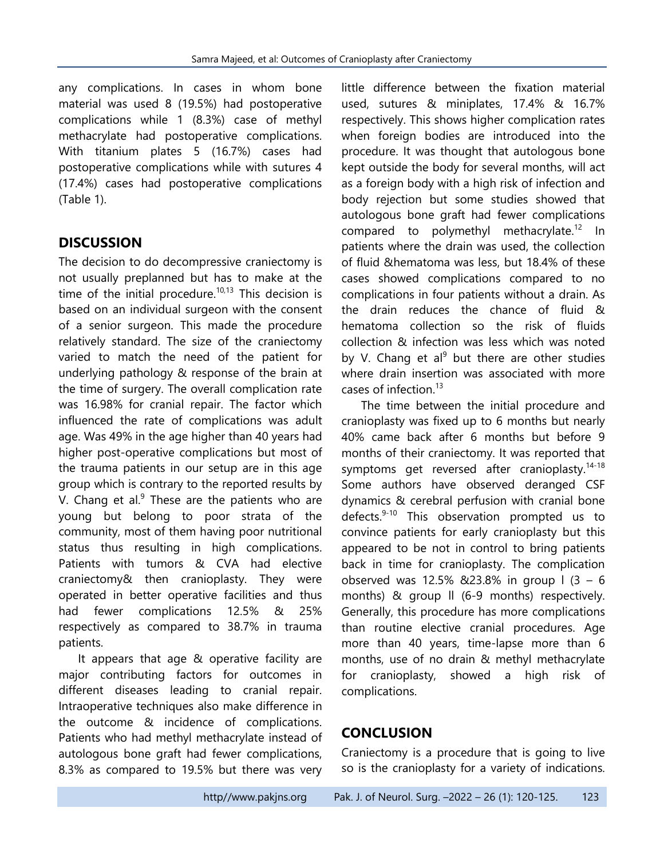any complications. In cases in whom bone material was used 8 (19.5%) had postoperative complications while 1 (8.3%) case of methyl methacrylate had postoperative complications. With titanium plates 5 (16.7%) cases had postoperative complications while with sutures 4 (17.4%) cases had postoperative complications (Table 1).

### **DISCUSSION**

The decision to do decompressive craniectomy is not usually preplanned but has to make at the time of the initial procedure.<sup>10,13</sup> This decision is based on an individual surgeon with the consent of a senior surgeon. This made the procedure relatively standard. The size of the craniectomy varied to match the need of the patient for underlying pathology & response of the brain at the time of surgery. The overall complication rate was 16.98% for cranial repair. The factor which influenced the rate of complications was adult age. Was 49% in the age higher than 40 years had higher post-operative complications but most of the trauma patients in our setup are in this age group which is contrary to the reported results by V. Chang et al. $9$  These are the patients who are young but belong to poor strata of the community, most of them having poor nutritional status thus resulting in high complications. Patients with tumors & CVA had elective craniectomy& then cranioplasty. They were operated in better operative facilities and thus had fewer complications 12.5% & 25% respectively as compared to 38.7% in trauma patients.

It appears that age & operative facility are major contributing factors for outcomes in different diseases leading to cranial repair. Intraoperative techniques also make difference in the outcome & incidence of complications. Patients who had methyl methacrylate instead of autologous bone graft had fewer complications, 8.3% as compared to 19.5% but there was very little difference between the fixation material used, sutures & miniplates, 17.4% & 16.7% respectively. This shows higher complication rates when foreign bodies are introduced into the procedure. It was thought that autologous bone kept outside the body for several months, will act as a foreign body with a high risk of infection and body rejection but some studies showed that autologous bone graft had fewer complications compared to polymethyl methacrylate.<sup>12</sup> In patients where the drain was used, the collection of fluid &hematoma was less, but 18.4% of these cases showed complications compared to no complications in four patients without a drain. As the drain reduces the chance of fluid & hematoma collection so the risk of fluids collection & infection was less which was noted by V. Chang et al<sup>9</sup> but there are other studies where drain insertion was associated with more cases of infection. 13

The time between the initial procedure and cranioplasty was fixed up to 6 months but nearly 40% came back after 6 months but before 9 months of their craniectomy. It was reported that symptoms get reversed after cranioplasty.<sup>14-18</sup> Some authors have observed deranged CSF dynamics & cerebral perfusion with cranial bone defects.<sup>9-10</sup> This observation prompted us to convince patients for early cranioplasty but this appeared to be not in control to bring patients back in time for cranioplasty. The complication observed was 12.5% &23.8% in group  $(3 - 6)$ months) & group ll (6-9 months) respectively. Generally, this procedure has more complications than routine elective cranial procedures. Age more than 40 years, time-lapse more than 6 months, use of no drain & methyl methacrylate for cranioplasty, showed a high risk of complications.

### **CONCLUSION**

Craniectomy is a procedure that is going to live so is the cranioplasty for a variety of indications.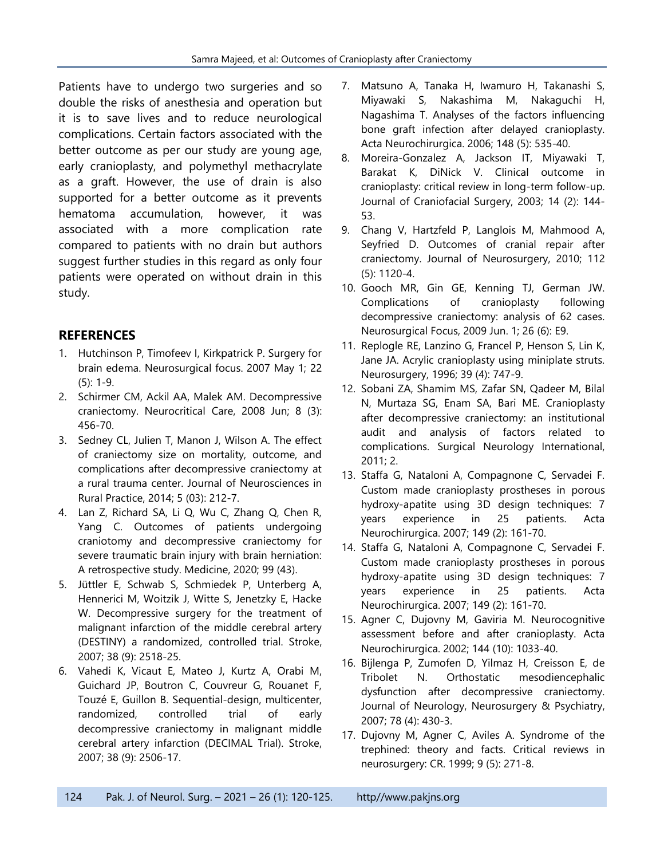Patients have to undergo two surgeries and so double the risks of anesthesia and operation but it is to save lives and to reduce neurological complications. Certain factors associated with the better outcome as per our study are young age, early cranioplasty, and polymethyl methacrylate as a graft. However, the use of drain is also supported for a better outcome as it prevents hematoma accumulation, however, it was associated with a more complication rate compared to patients with no drain but authors suggest further studies in this regard as only four patients were operated on without drain in this study.

#### **REFERENCES**

- 1. Hutchinson P, Timofeev I, Kirkpatrick P. Surgery for brain edema. Neurosurgical focus. 2007 May 1; 22 (5): 1-9.
- 2. Schirmer CM, Ackil AA, Malek AM. Decompressive craniectomy. Neurocritical Care, 2008 Jun; 8 (3): 456-70.
- 3. Sedney CL, Julien T, Manon J, Wilson A. The effect of craniectomy size on mortality, outcome, and complications after decompressive craniectomy at a rural trauma center. Journal of Neurosciences in Rural Practice, 2014; 5 (03): 212-7.
- 4. Lan Z, Richard SA, Li Q, Wu C, Zhang Q, Chen R, Yang C. Outcomes of patients undergoing craniotomy and decompressive craniectomy for severe traumatic brain injury with brain herniation: A retrospective study. Medicine, 2020; 99 (43).
- 5. Jüttler E, Schwab S, Schmiedek P, Unterberg A, Hennerici M, Woitzik J, Witte S, Jenetzky E, Hacke W. Decompressive surgery for the treatment of malignant infarction of the middle cerebral artery (DESTINY) a randomized, controlled trial. Stroke, 2007; 38 (9): 2518-25.
- 6. Vahedi K, Vicaut E, Mateo J, Kurtz A, Orabi M, Guichard JP, Boutron C, Couvreur G, Rouanet F, Touzé E, Guillon B. Sequential-design, multicenter, randomized, controlled trial of early decompressive craniectomy in malignant middle cerebral artery infarction (DECIMAL Trial). Stroke, 2007; 38 (9): 2506-17.
- 7. Matsuno A, Tanaka H, Iwamuro H, Takanashi S, Miyawaki S, Nakashima M, Nakaguchi H, Nagashima T. Analyses of the factors influencing bone graft infection after delayed cranioplasty. Acta Neurochirurgica. 2006; 148 (5): 535-40.
- 8. Moreira-Gonzalez A, Jackson IT, Miyawaki T, Barakat K, DiNick V. Clinical outcome in cranioplasty: critical review in long-term follow-up. Journal of Craniofacial Surgery, 2003; 14 (2): 144- 53.
- 9. Chang V, Hartzfeld P, Langlois M, Mahmood A, Seyfried D. Outcomes of cranial repair after craniectomy. Journal of Neurosurgery, 2010; 112 (5): 1120-4.
- 10. Gooch MR, Gin GE, Kenning TJ, German JW. Complications of cranioplasty following decompressive craniectomy: analysis of 62 cases. Neurosurgical Focus, 2009 Jun. 1; 26 (6): E9.
- 11. Replogle RE, Lanzino G, Francel P, Henson S, Lin K, Jane JA. Acrylic cranioplasty using miniplate struts. Neurosurgery, 1996; 39 (4): 747-9.
- 12. Sobani ZA, Shamim MS, Zafar SN, Qadeer M, Bilal N, Murtaza SG, Enam SA, Bari ME. Cranioplasty after decompressive craniectomy: an institutional audit and analysis of factors related to complications. Surgical Neurology International, 2011; 2.
- 13. Staffa G, Nataloni A, Compagnone C, Servadei F. Custom made cranioplasty prostheses in porous hydroxy-apatite using 3D design techniques: 7 years experience in 25 patients. Acta Neurochirurgica. 2007; 149 (2): 161-70.
- 14. Staffa G, Nataloni A, Compagnone C, Servadei F. Custom made cranioplasty prostheses in porous hydroxy-apatite using 3D design techniques: 7 years experience in 25 patients. Acta Neurochirurgica. 2007; 149 (2): 161-70.
- 15. Agner C, Dujovny M, Gaviria M. Neurocognitive assessment before and after cranioplasty. Acta Neurochirurgica. 2002; 144 (10): 1033-40.
- 16. Bijlenga P, Zumofen D, Yilmaz H, Creisson E, de Tribolet N. Orthostatic mesodiencephalic dysfunction after decompressive craniectomy. Journal of Neurology, Neurosurgery & Psychiatry, 2007; 78 (4): 430-3.
- 17. Dujovny M, Agner C, Aviles A. Syndrome of the trephined: theory and facts. Critical reviews in neurosurgery: CR. 1999; 9 (5): 271-8.